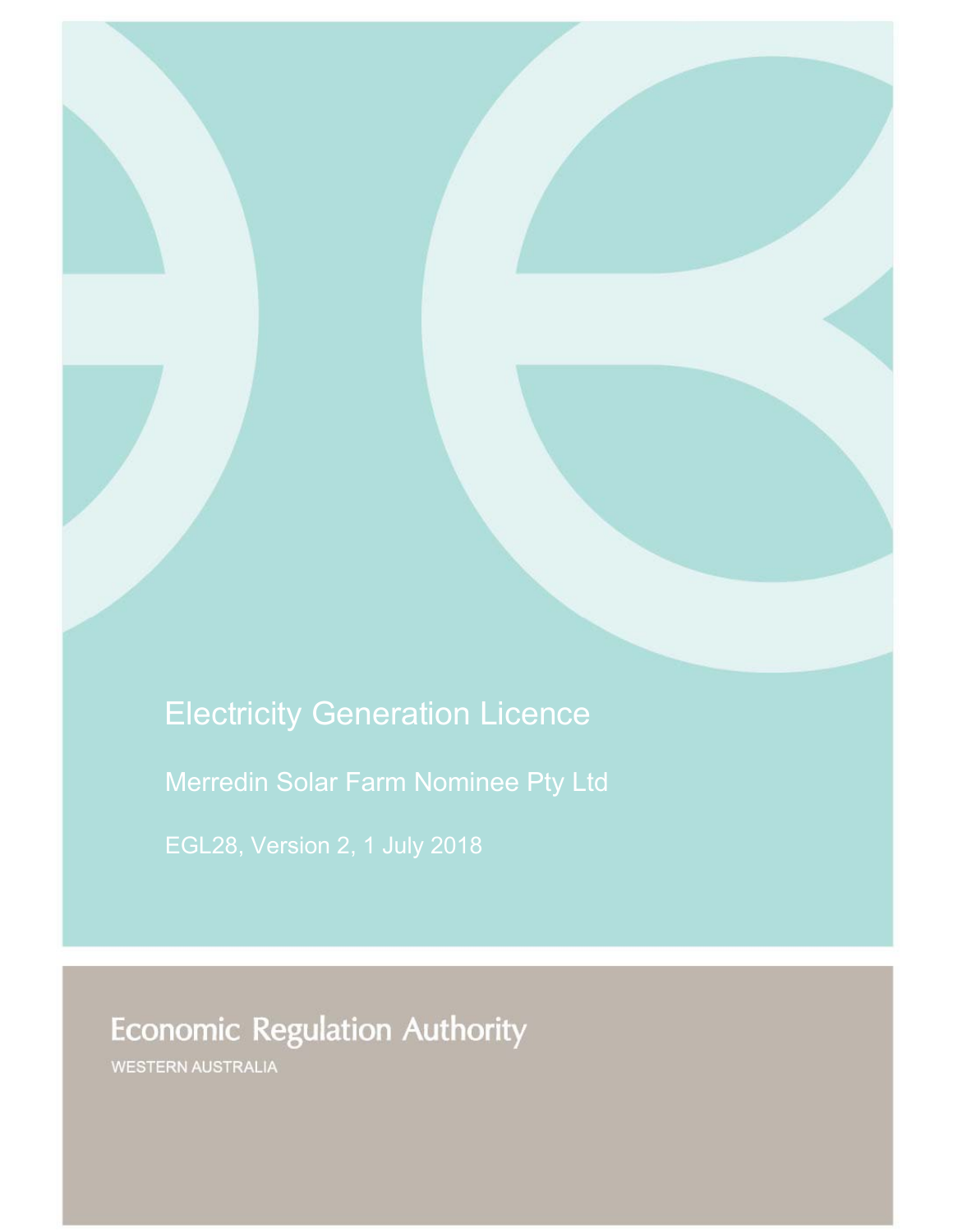# Electricity Generation Licence

Merredin Solar Farm Nominee Pty Ltd

# **Economic Regulation Authority**

WESTERN AUSTRALIA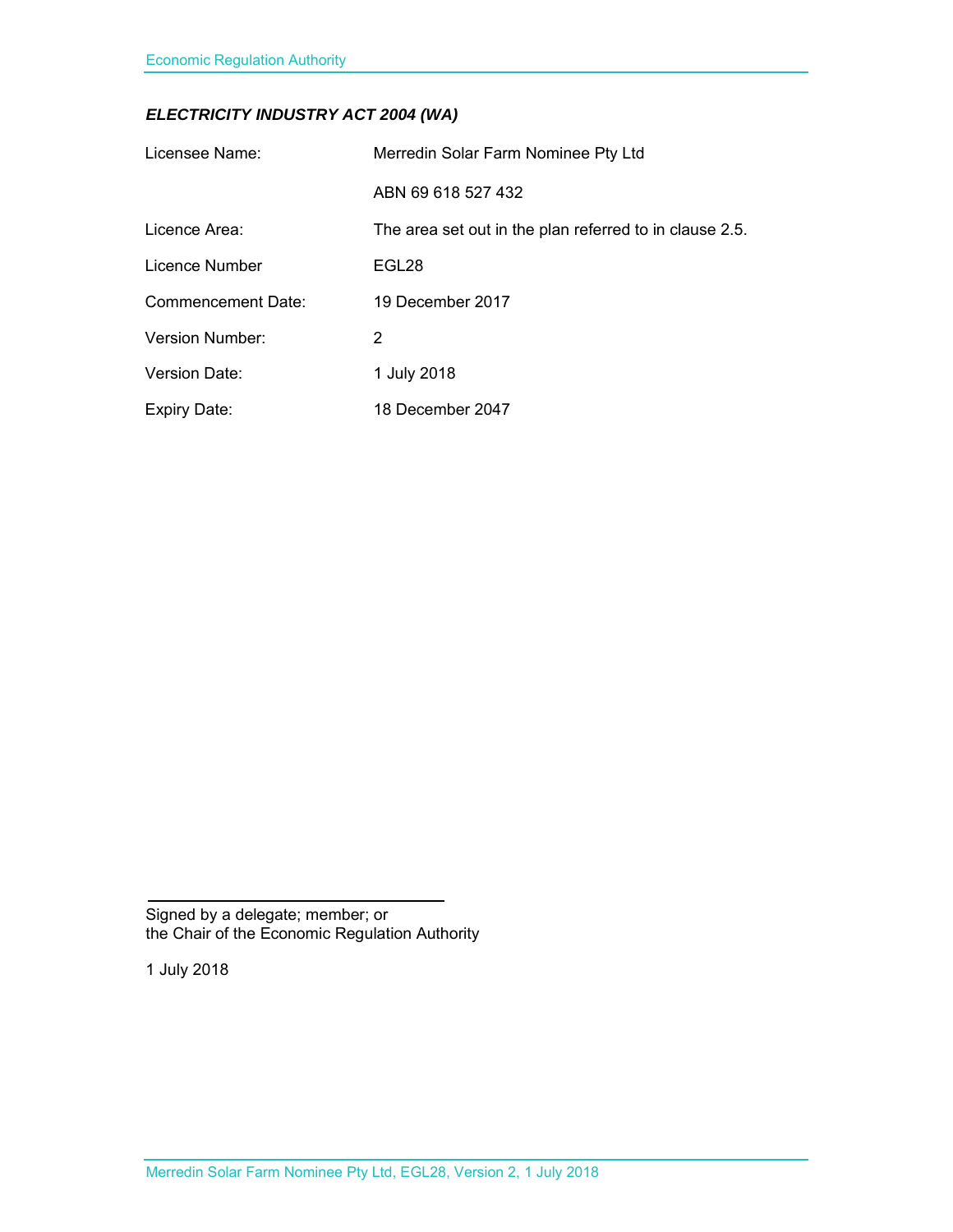### *ELECTRICITY INDUSTRY ACT 2004 (WA)*

| Licensee Name:         | Merredin Solar Farm Nominee Pty Ltd                     |
|------------------------|---------------------------------------------------------|
|                        | ABN 69 618 527 432                                      |
| Licence Area:          | The area set out in the plan referred to in clause 2.5. |
| Licence Number         | EGL28                                                   |
| Commencement Date:     | 19 December 2017                                        |
| <b>Version Number:</b> | 2                                                       |
| Version Date:          | 1 July 2018                                             |
| <b>Expiry Date:</b>    | 18 December 2047                                        |

Signed by a delegate; member; or the Chair of the Economic Regulation Authority

1 July 2018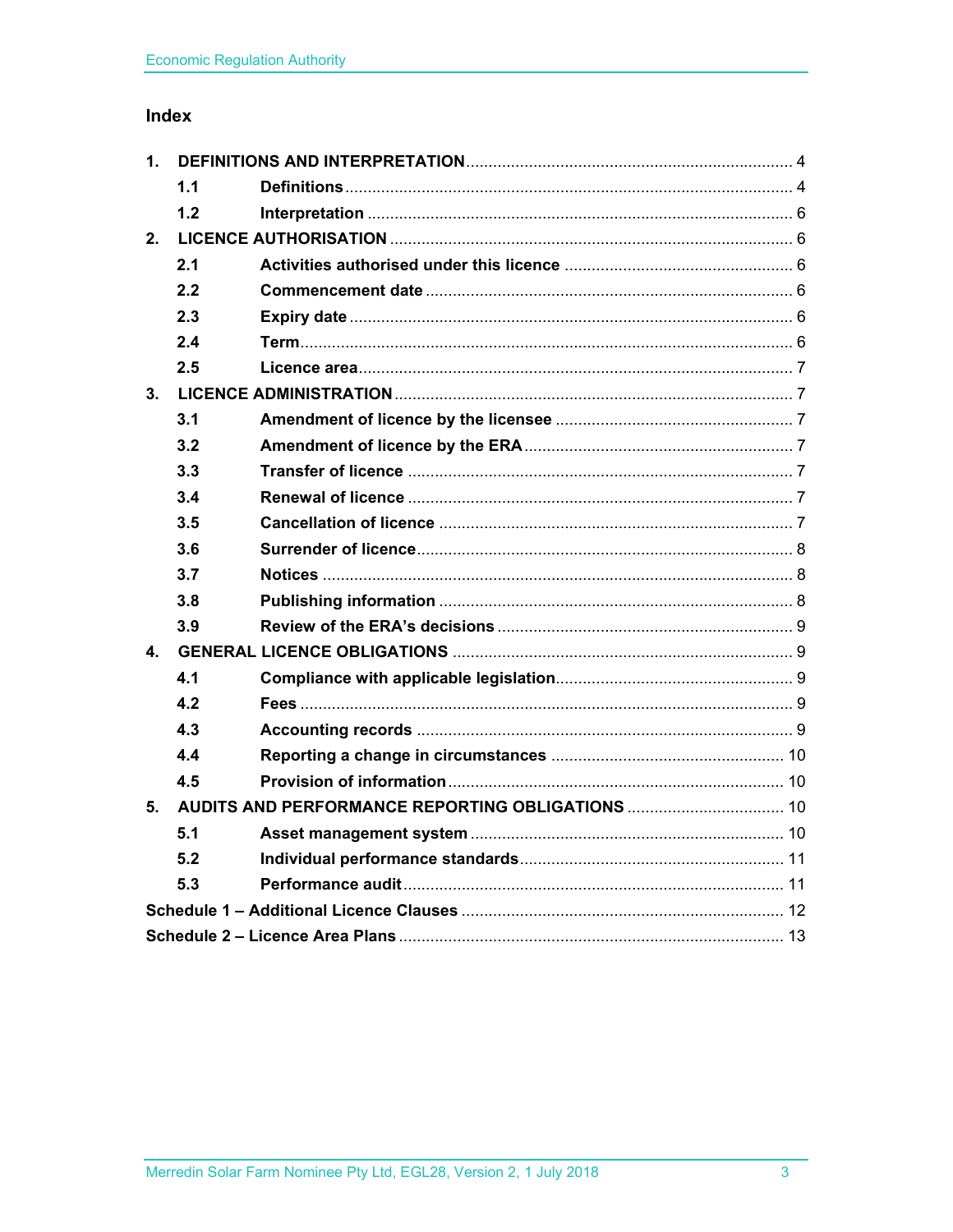### Index

| 1.           |     |  |  |
|--------------|-----|--|--|
|              | 1.1 |  |  |
|              | 1.2 |  |  |
| $2-$         |     |  |  |
|              | 2.1 |  |  |
|              | 2.2 |  |  |
|              | 2.3 |  |  |
|              | 2.4 |  |  |
|              | 2.5 |  |  |
| 3.           |     |  |  |
|              | 3.1 |  |  |
|              | 3.2 |  |  |
|              | 3.3 |  |  |
|              | 3.4 |  |  |
|              | 3.5 |  |  |
|              | 3.6 |  |  |
|              | 3.7 |  |  |
|              | 3.8 |  |  |
|              | 3.9 |  |  |
| $\mathbf{4}$ |     |  |  |
|              | 4.1 |  |  |
|              | 4.2 |  |  |
|              | 4.3 |  |  |
|              | 4.4 |  |  |
|              | 4.5 |  |  |
| 5.           |     |  |  |
|              | 5.1 |  |  |
|              | 5.2 |  |  |
|              | 5.3 |  |  |
|              |     |  |  |
|              |     |  |  |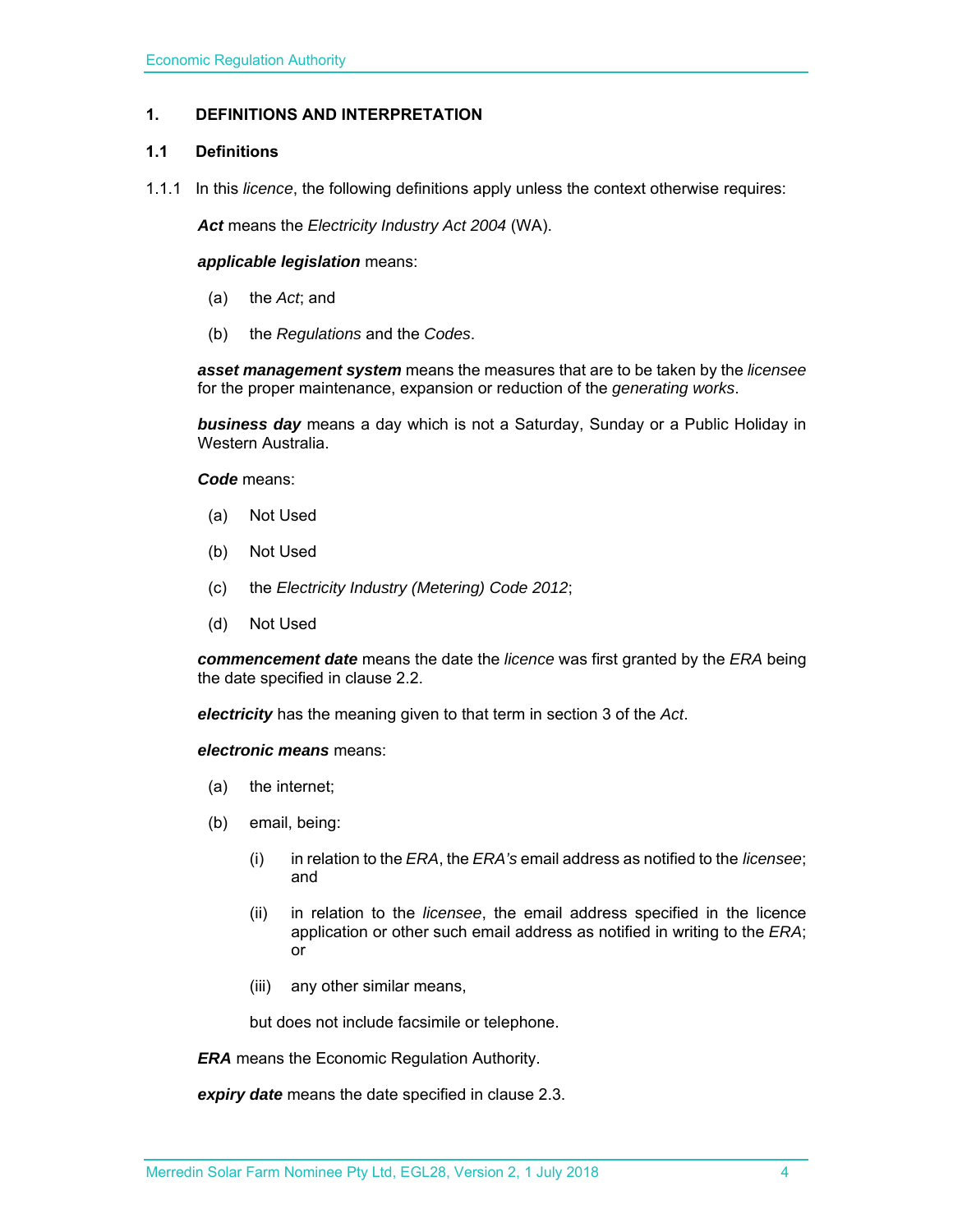#### **1. DEFINITIONS AND INTERPRETATION**

#### **1.1 Definitions**

1.1.1 In this *licence*, the following definitions apply unless the context otherwise requires:

*Act* means the *Electricity Industry Act 2004* (WA).

*applicable legislation* means:

- (a) the *Act*; and
- (b) the *Regulations* and the *Codes*.

*asset management system* means the measures that are to be taken by the *licensee* for the proper maintenance, expansion or reduction of the *generating works*.

*business day* means a day which is not a Saturday, Sunday or a Public Holiday in Western Australia.

*Code* means:

- (a) Not Used
- (b) Not Used
- (c) the *Electricity Industry (Metering) Code 2012*;
- (d) Not Used

*commencement date* means the date the *licence* was first granted by the *ERA* being the date specified in clause 2.2.

*electricity* has the meaning given to that term in section 3 of the *Act*.

*electronic means* means:

- (a) the internet;
- (b) email, being:
	- (i) in relation to the *ERA*, the *ERA's* email address as notified to the *licensee*; and
	- (ii) in relation to the *licensee*, the email address specified in the licence application or other such email address as notified in writing to the *ERA*; or
	- (iii) any other similar means,

but does not include facsimile or telephone.

*ERA* means the Economic Regulation Authority.

*expiry date* means the date specified in clause 2.3.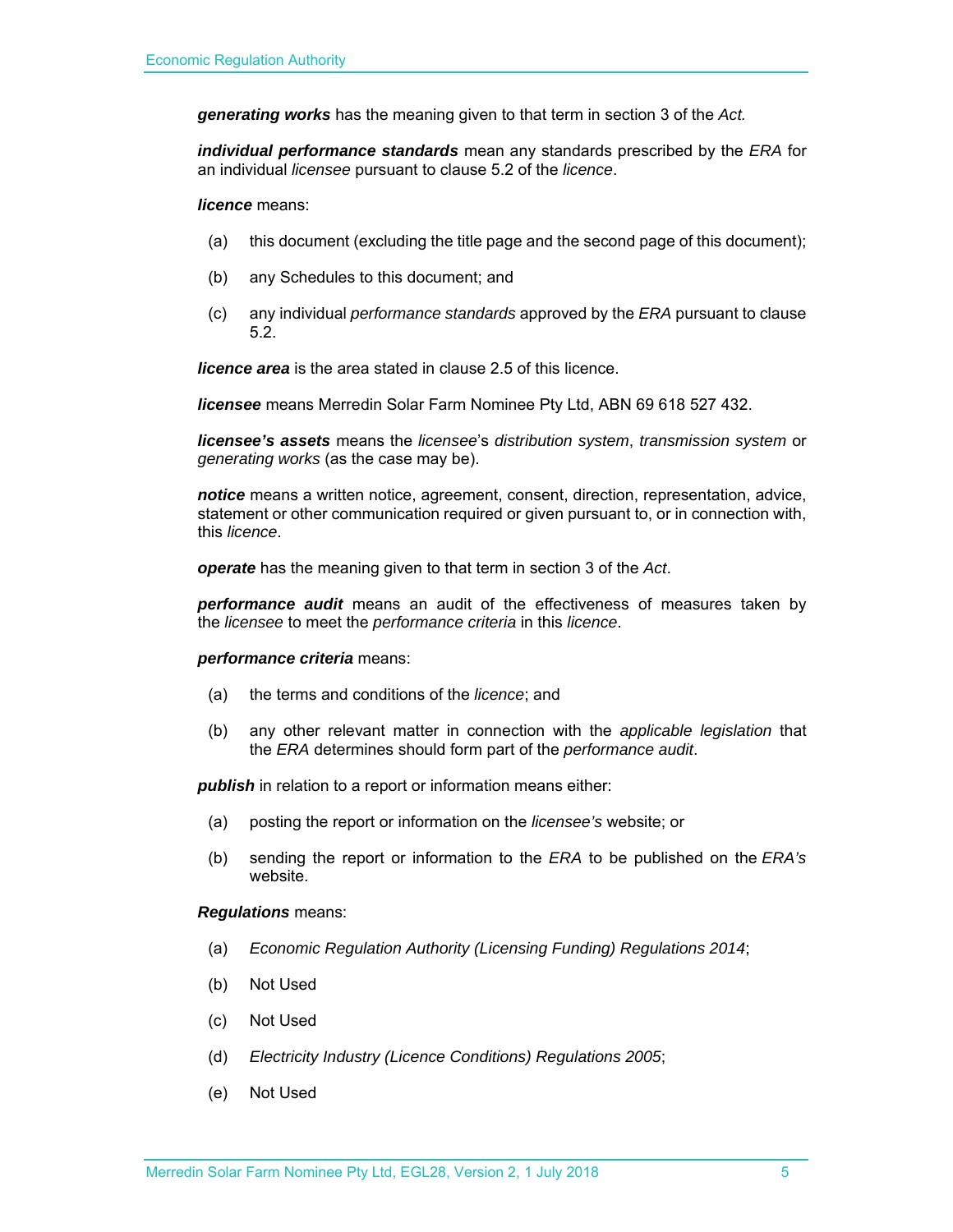*generating works* has the meaning given to that term in section 3 of the *Act.* 

*individual performance standards* mean any standards prescribed by the *ERA* for an individual *licensee* pursuant to clause 5.2 of the *licence*.

*licence* means:

- (a) this document (excluding the title page and the second page of this document);
- (b) any Schedules to this document; and
- (c) any individual *performance standards* approved by the *ERA* pursuant to clause 5.2.

*licence area* is the area stated in clause 2.5 of this licence.

*licensee* means Merredin Solar Farm Nominee Pty Ltd, ABN 69 618 527 432.

*licensee's assets* means the *licensee*'s *distribution system*, *transmission system* or *generating works* (as the case may be).

*notice* means a written notice, agreement, consent, direction, representation, advice, statement or other communication required or given pursuant to, or in connection with, this *licence*.

*operate* has the meaning given to that term in section 3 of the *Act*.

*performance audit* means an audit of the effectiveness of measures taken by the *licensee* to meet the *performance criteria* in this *licence*.

#### *performance criteria* means:

- (a) the terms and conditions of the *licence*; and
- (b) any other relevant matter in connection with the *applicable legislation* that the *ERA* determines should form part of the *performance audit*.

**publish** in relation to a report or information means either:

- (a) posting the report or information on the *licensee's* website; or
- (b) sending the report or information to the *ERA* to be published on the *ERA's* website.

#### *Regulations* means:

- (a) *Economic Regulation Authority (Licensing Funding) Regulations 2014*;
- (b) Not Used
- (c) Not Used
- (d) *Electricity Industry (Licence Conditions) Regulations 2005*;
- (e) Not Used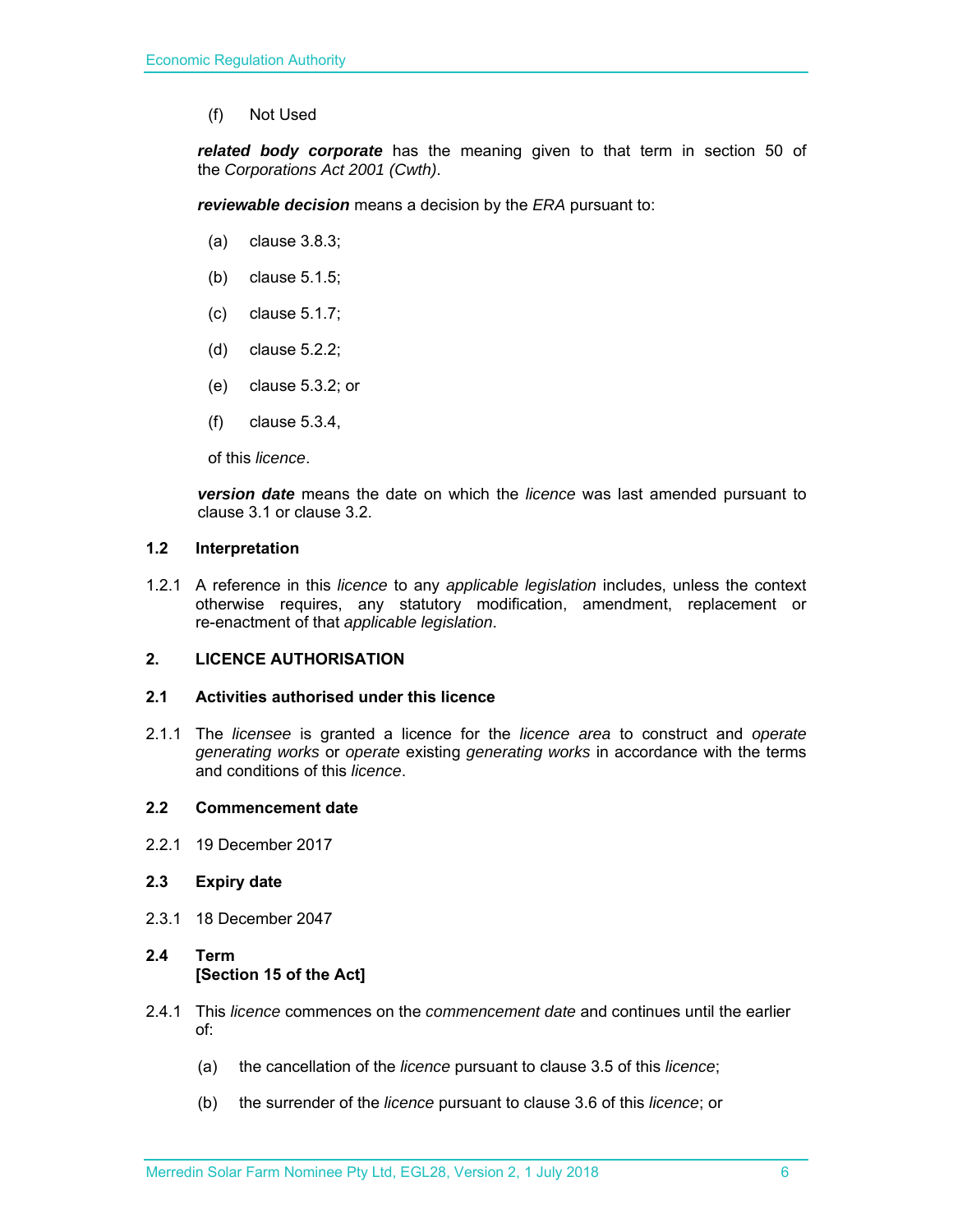(f) Not Used

*related body corporate* has the meaning given to that term in section 50 of the *Corporations Act 2001 (Cwth)*.

*reviewable decision* means a decision by the *ERA* pursuant to:

- (a) clause 3.8.3;
- (b) clause 5.1.5;
- (c) clause 5.1.7;
- (d) clause 5.2.2;
- (e) clause 5.3.2; or
- (f) clause 5.3.4,

of this *licence*.

*version date* means the date on which the *licence* was last amended pursuant to clause 3.1 or clause 3.2.

#### **1.2 Interpretation**

1.2.1 A reference in this *licence* to any *applicable legislation* includes, unless the context otherwise requires, any statutory modification, amendment, replacement or re-enactment of that *applicable legislation*.

#### **2. LICENCE AUTHORISATION**

#### **2.1 Activities authorised under this licence**

2.1.1 The *licensee* is granted a licence for the *licence area* to construct and *operate generating works* or *operate* existing *generating works* in accordance with the terms and conditions of this *licence*.

#### **2.2 Commencement date**

2.2.1 19 December 2017

#### **2.3 Expiry date**

2.3.1 18 December 2047

#### **2.4 Term [Section 15 of the Act]**

- 2.4.1 This *licence* commences on the *commencement date* and continues until the earlier of:
	- (a) the cancellation of the *licence* pursuant to clause 3.5 of this *licence*;
	- (b) the surrender of the *licence* pursuant to clause 3.6 of this *licence*; or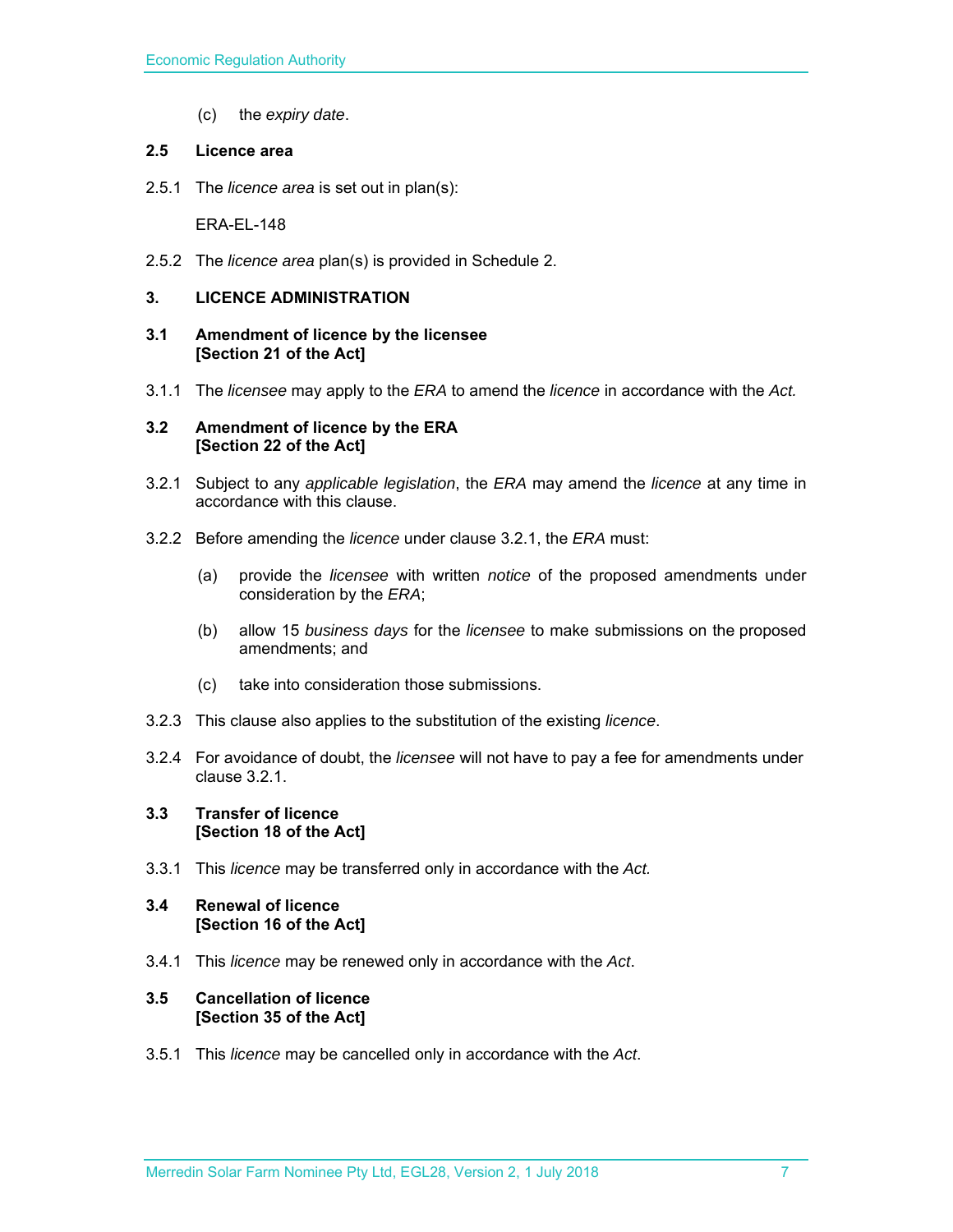(c) the *expiry date*.

#### **2.5 Licence area**

2.5.1 The *licence area* is set out in plan(s):

ERA-EL-148

2.5.2 The *licence area* plan(s) is provided in Schedule 2.

#### **3. LICENCE ADMINISTRATION**

#### **3.1 Amendment of licence by the licensee [Section 21 of the Act]**

3.1.1 The *licensee* may apply to the *ERA* to amend the *licence* in accordance with the *Act.*

#### **3.2 Amendment of licence by the ERA [Section 22 of the Act]**

- 3.2.1 Subject to any *applicable legislation*, the *ERA* may amend the *licence* at any time in accordance with this clause.
- 3.2.2 Before amending the *licence* under clause 3.2.1, the *ERA* must:
	- (a) provide the *licensee* with written *notice* of the proposed amendments under consideration by the *ERA*;
	- (b) allow 15 *business days* for the *licensee* to make submissions on the proposed amendments; and
	- (c) take into consideration those submissions.
- 3.2.3 This clause also applies to the substitution of the existing *licence*.
- 3.2.4 For avoidance of doubt, the *licensee* will not have to pay a fee for amendments under clause 3.2.1.

#### **3.3 Transfer of licence [Section 18 of the Act]**

3.3.1 This *licence* may be transferred only in accordance with the *Act.*

#### **3.4 Renewal of licence [Section 16 of the Act]**

3.4.1 This *licence* may be renewed only in accordance with the *Act*.

#### **3.5 Cancellation of licence [Section 35 of the Act]**

3.5.1 This *licence* may be cancelled only in accordance with the *Act*.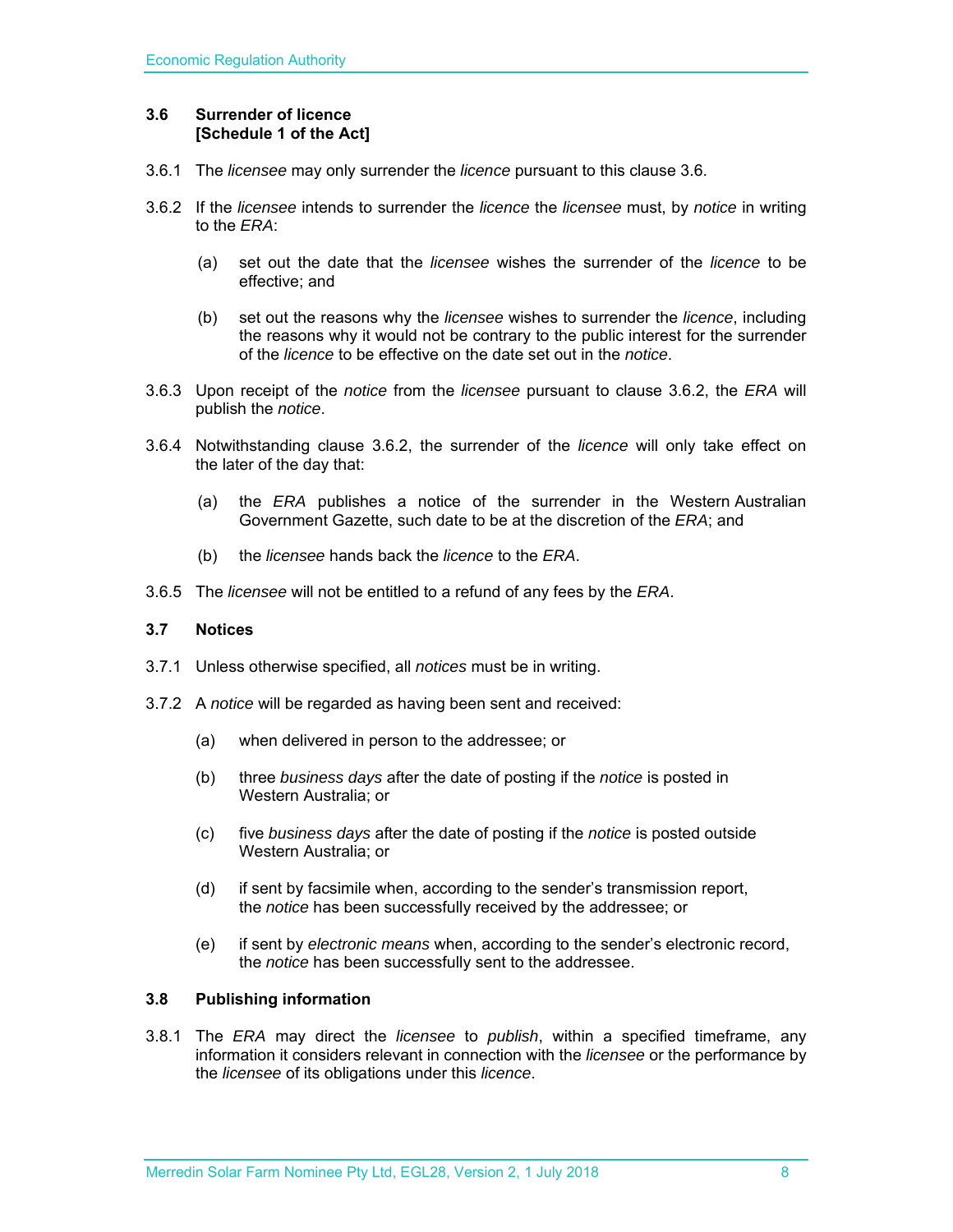#### **3.6 Surrender of licence [Schedule 1 of the Act]**

- 3.6.1 The *licensee* may only surrender the *licence* pursuant to this clause 3.6.
- 3.6.2 If the *licensee* intends to surrender the *licence* the *licensee* must, by *notice* in writing to the *ERA*:
	- (a) set out the date that the *licensee* wishes the surrender of the *licence* to be effective; and
	- (b) set out the reasons why the *licensee* wishes to surrender the *licence*, including the reasons why it would not be contrary to the public interest for the surrender of the *licence* to be effective on the date set out in the *notice*.
- 3.6.3 Upon receipt of the *notice* from the *licensee* pursuant to clause 3.6.2, the *ERA* will publish the *notice*.
- 3.6.4 Notwithstanding clause 3.6.2, the surrender of the *licence* will only take effect on the later of the day that:
	- (a) the *ERA* publishes a notice of the surrender in the Western Australian Government Gazette, such date to be at the discretion of the *ERA*; and
	- (b) the *licensee* hands back the *licence* to the *ERA*.
- 3.6.5 The *licensee* will not be entitled to a refund of any fees by the *ERA*.

#### **3.7 Notices**

- 3.7.1 Unless otherwise specified, all *notices* must be in writing.
- 3.7.2 A *notice* will be regarded as having been sent and received:
	- (a) when delivered in person to the addressee; or
	- (b) three *business days* after the date of posting if the *notice* is posted in Western Australia; or
	- (c) five *business days* after the date of posting if the *notice* is posted outside Western Australia; or
	- (d) if sent by facsimile when, according to the sender's transmission report, the *notice* has been successfully received by the addressee; or
	- (e) if sent by *electronic means* when, according to the sender's electronic record, the *notice* has been successfully sent to the addressee.

#### **3.8 Publishing information**

3.8.1 The *ERA* may direct the *licensee* to *publish*, within a specified timeframe, any information it considers relevant in connection with the *licensee* or the performance by the *licensee* of its obligations under this *licence*.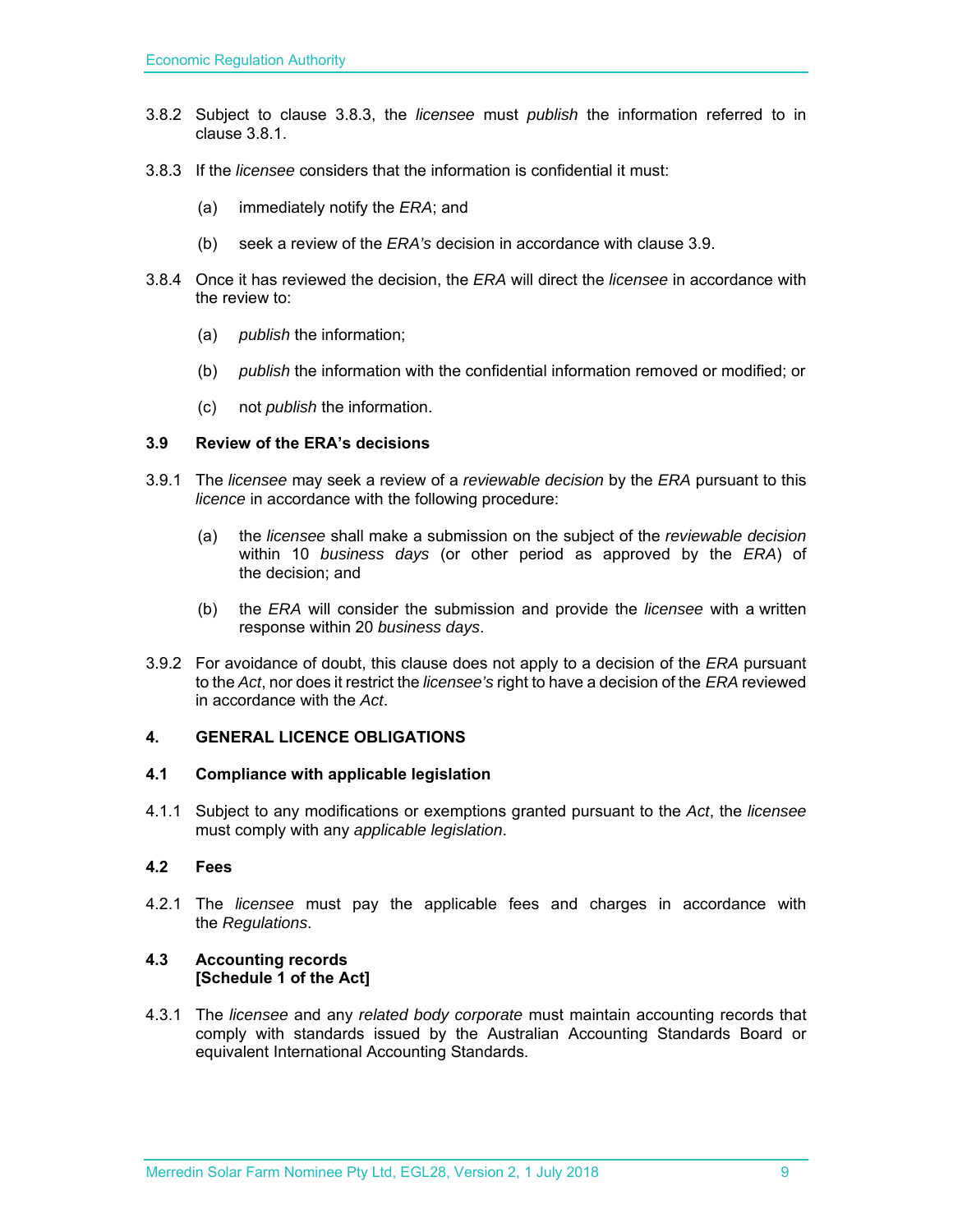- 3.8.2 Subject to clause 3.8.3, the *licensee* must *publish* the information referred to in clause 3.8.1.
- 3.8.3 If the *licensee* considers that the information is confidential it must:
	- (a) immediately notify the *ERA*; and
	- (b) seek a review of the *ERA's* decision in accordance with clause 3.9.
- 3.8.4 Once it has reviewed the decision, the *ERA* will direct the *licensee* in accordance with the review to:
	- (a) *publish* the information;
	- (b) *publish* the information with the confidential information removed or modified; or
	- (c) not *publish* the information.

#### **3.9 Review of the ERA's decisions**

- 3.9.1 The *licensee* may seek a review of a *reviewable decision* by the *ERA* pursuant to this *licence* in accordance with the following procedure:
	- (a) the *licensee* shall make a submission on the subject of the *reviewable decision* within 10 *business days* (or other period as approved by the *ERA*) of the decision; and
	- (b) the *ERA* will consider the submission and provide the *licensee* with a written response within 20 *business days*.
- 3.9.2 For avoidance of doubt, this clause does not apply to a decision of the *ERA* pursuant to the *Act*, nor does it restrict the *licensee's* right to have a decision of the *ERA* reviewed in accordance with the *Act*.

#### **4. GENERAL LICENCE OBLIGATIONS**

#### **4.1 Compliance with applicable legislation**

4.1.1 Subject to any modifications or exemptions granted pursuant to the *Act*, the *licensee* must comply with any *applicable legislation*.

#### **4.2 Fees**

4.2.1 The *licensee* must pay the applicable fees and charges in accordance with the *Regulations*.

#### **4.3 Accounting records [Schedule 1 of the Act]**

4.3.1 The *licensee* and any *related body corporate* must maintain accounting records that comply with standards issued by the Australian Accounting Standards Board or equivalent International Accounting Standards.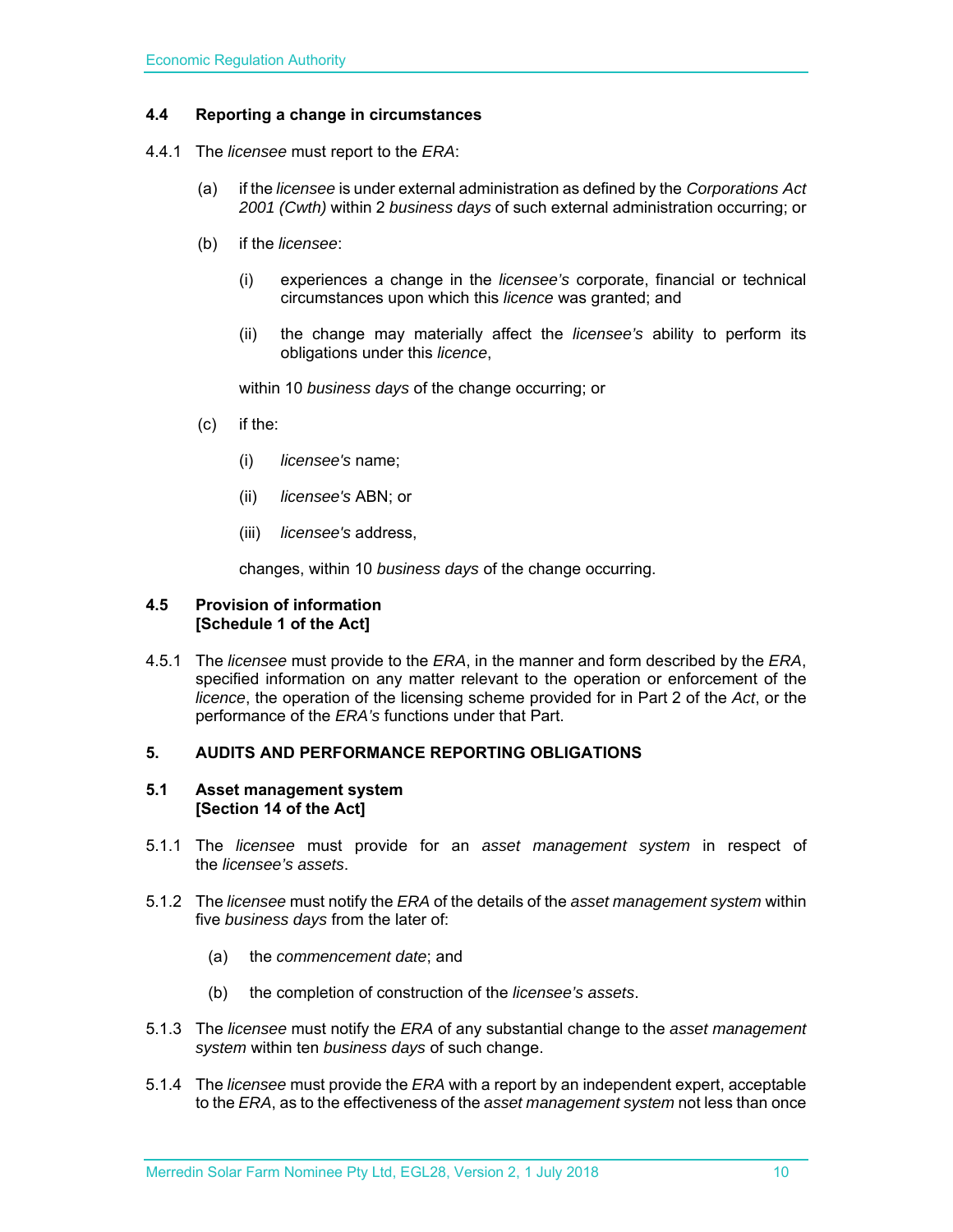#### **4.4 Reporting a change in circumstances**

- 4.4.1 The *licensee* must report to the *ERA*:
	- (a) if the *licensee* is under external administration as defined by the *Corporations Act 2001 (Cwth)* within 2 *business days* of such external administration occurring; or
	- (b) if the *licensee*:
		- (i) experiences a change in the *licensee's* corporate, financial or technical circumstances upon which this *licence* was granted; and
		- (ii) the change may materially affect the *licensee's* ability to perform its obligations under this *licence*,

within 10 *business days* of the change occurring; or

- (c) if the:
	- (i) *licensee's* name;
	- (ii) *licensee's* ABN; or
	- (iii) *licensee's* address,

changes, within 10 *business days* of the change occurring.

#### **4.5 Provision of information [Schedule 1 of the Act]**

4.5.1 The *licensee* must provide to the *ERA*, in the manner and form described by the *ERA*, specified information on any matter relevant to the operation or enforcement of the *licence*, the operation of the licensing scheme provided for in Part 2 of the *Act*, or the performance of the *ERA's* functions under that Part.

#### **5. AUDITS AND PERFORMANCE REPORTING OBLIGATIONS**

#### **5.1 Asset management system [Section 14 of the Act]**

- 5.1.1 The *licensee* must provide for an *asset management system* in respect of the *licensee's assets*.
- 5.1.2 The *licensee* must notify the *ERA* of the details of the *asset management system* within five *business days* from the later of:
	- (a) the *commencement date*; and
	- (b) the completion of construction of the *licensee's assets*.
- 5.1.3 The *licensee* must notify the *ERA* of any substantial change to the *asset management system* within ten *business days* of such change.
- 5.1.4 The *licensee* must provide the *ERA* with a report by an independent expert, acceptable to the *ERA*, as to the effectiveness of the *asset management system* not less than once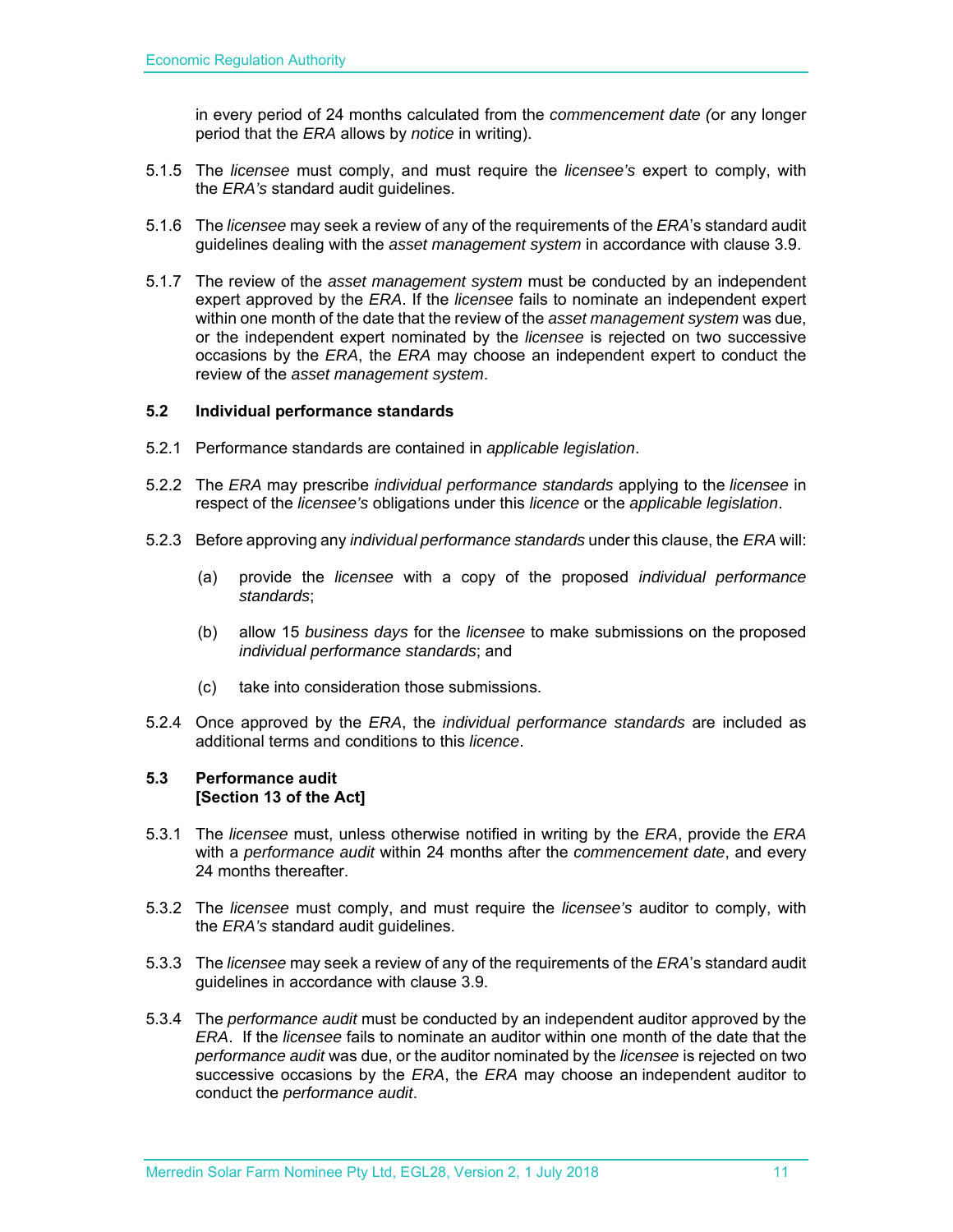in every period of 24 months calculated from the *commencement date (*or any longer period that the *ERA* allows by *notice* in writing).

- 5.1.5 The *licensee* must comply, and must require the *licensee's* expert to comply, with the *ERA's* standard audit guidelines.
- 5.1.6 The *licensee* may seek a review of any of the requirements of the *ERA*'s standard audit guidelines dealing with the *asset management system* in accordance with clause 3.9.
- 5.1.7 The review of the *asset management system* must be conducted by an independent expert approved by the *ERA*. If the *licensee* fails to nominate an independent expert within one month of the date that the review of the *asset management system* was due, or the independent expert nominated by the *licensee* is rejected on two successive occasions by the *ERA*, the *ERA* may choose an independent expert to conduct the review of the *asset management system*.

#### **5.2 Individual performance standards**

- 5.2.1 Performance standards are contained in *applicable legislation*.
- 5.2.2 The *ERA* may prescribe *individual performance standards* applying to the *licensee* in respect of the *licensee's* obligations under this *licence* or the *applicable legislation*.
- 5.2.3 Before approving any *individual performance standards* under this clause, the *ERA* will:
	- (a) provide the *licensee* with a copy of the proposed *individual performance standards*;
	- (b) allow 15 *business days* for the *licensee* to make submissions on the proposed *individual performance standards*; and
	- (c) take into consideration those submissions.
- 5.2.4 Once approved by the *ERA*, the *individual performance standards* are included as additional terms and conditions to this *licence*.

#### **5.3 Performance audit [Section 13 of the Act]**

- 5.3.1 The *licensee* must, unless otherwise notified in writing by the *ERA*, provide the *ERA* with a *performance audit* within 24 months after the *commencement date*, and every 24 months thereafter.
- 5.3.2 The *licensee* must comply, and must require the *licensee's* auditor to comply, with the *ERA's* standard audit guidelines.
- 5.3.3 The *licensee* may seek a review of any of the requirements of the *ERA*'s standard audit guidelines in accordance with clause 3.9.
- 5.3.4 The *performance audit* must be conducted by an independent auditor approved by the *ERA*. If the *licensee* fails to nominate an auditor within one month of the date that the *performance audit* was due, or the auditor nominated by the *licensee* is rejected on two successive occasions by the *ERA*, the *ERA* may choose an independent auditor to conduct the *performance audit*.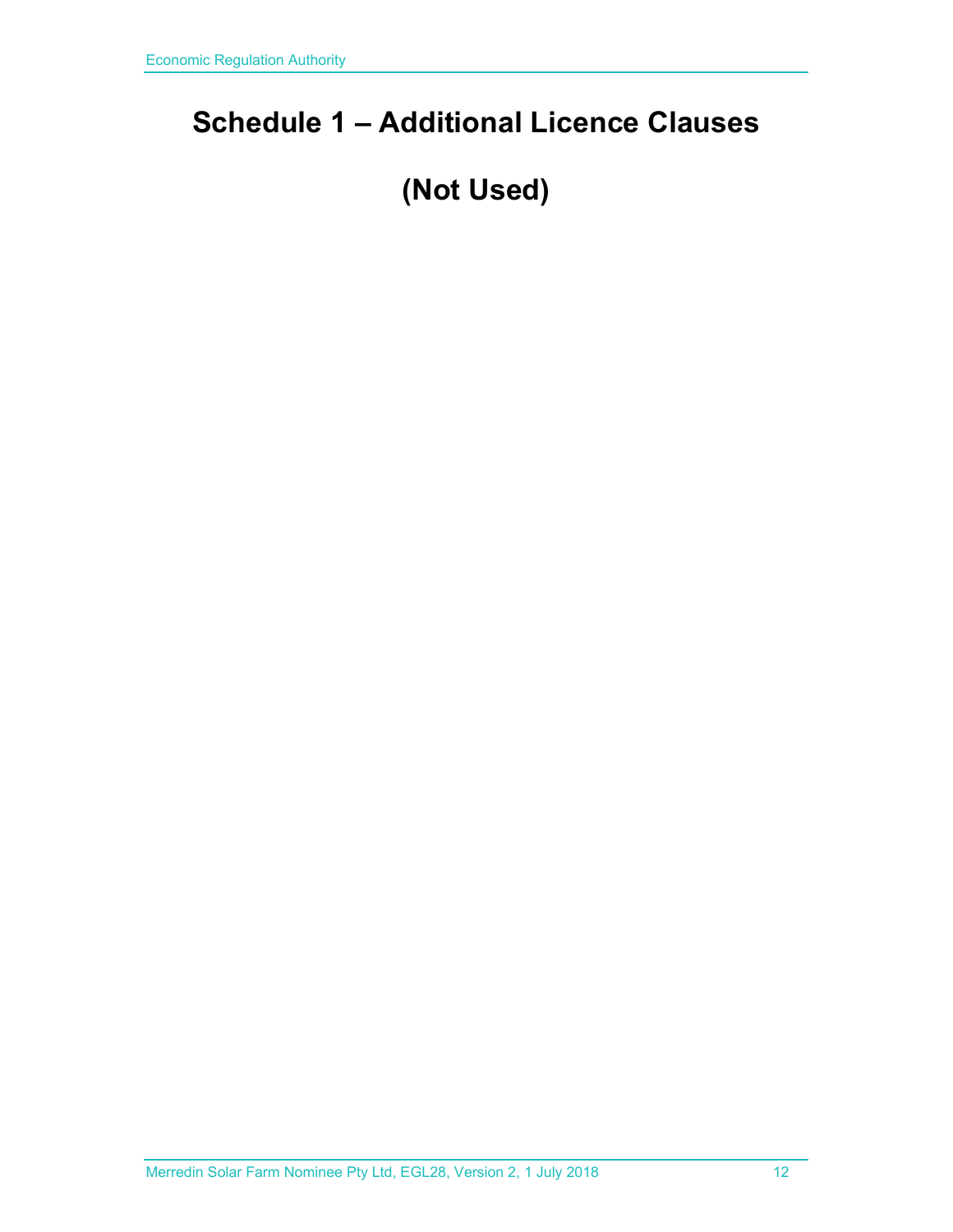## **Schedule 1 – Additional Licence Clauses**

## **(Not Used)**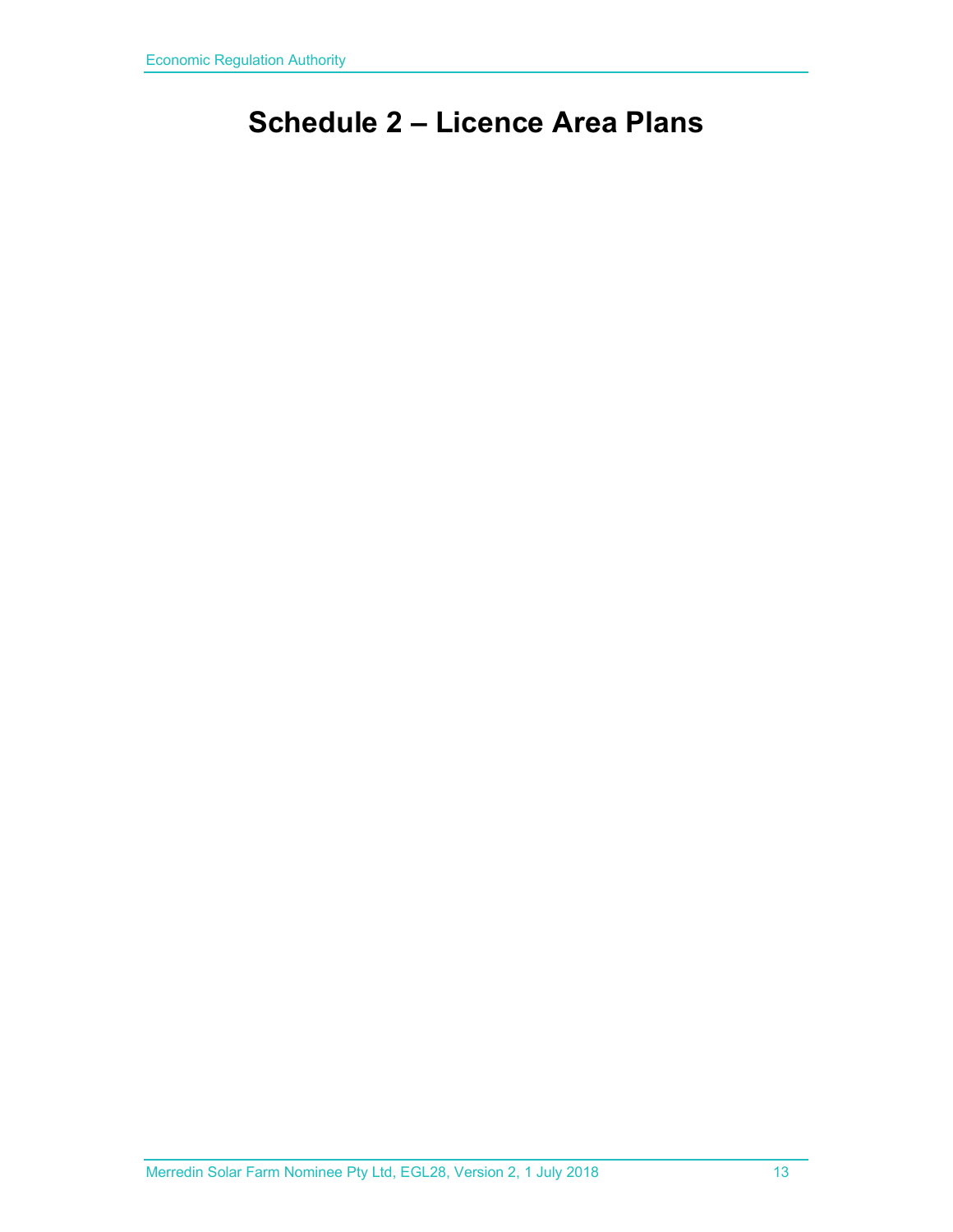## **Schedule 2 – Licence Area Plans**